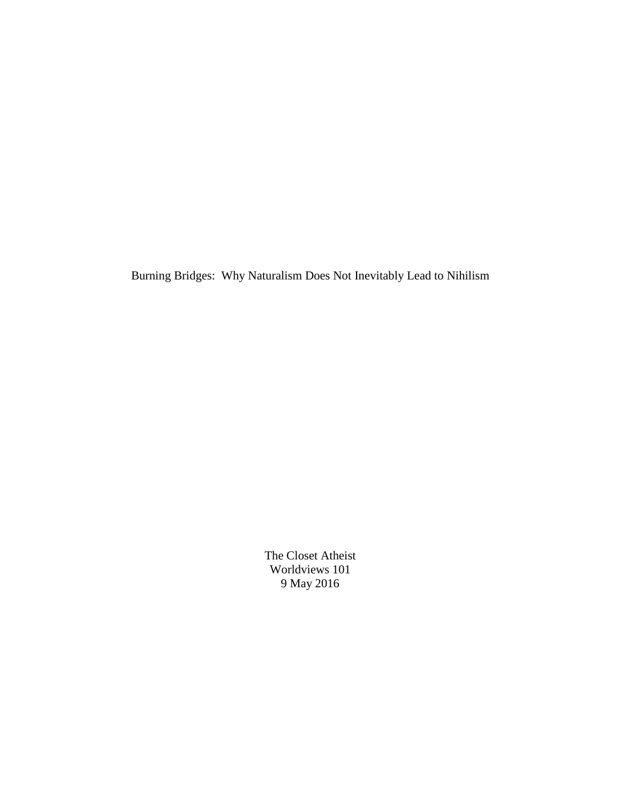Burning Bridges: Why Naturalism Does Not Inevitably Lead to Nihilism

The Closet Atheist Worldviews 101 9 May 2016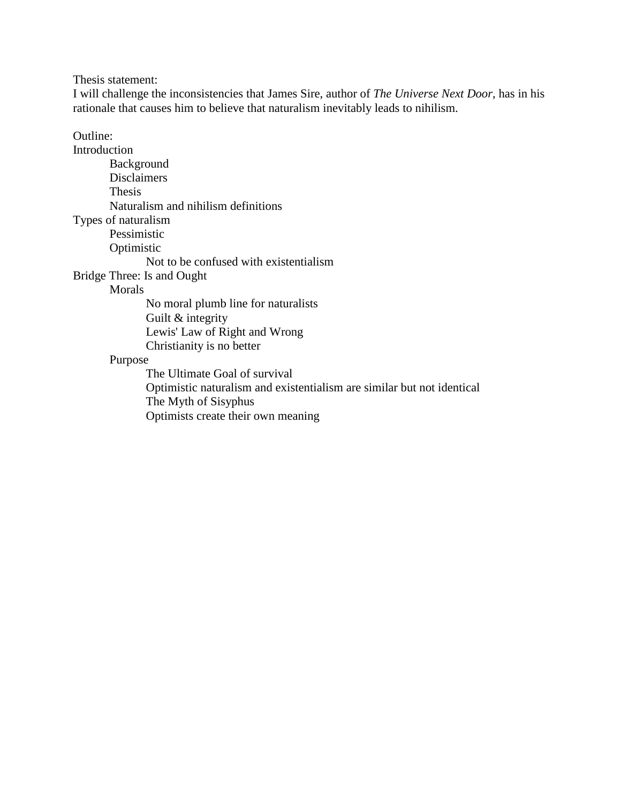Thesis statement:

I will challenge the inconsistencies that James Sire, author of *The Universe Next Door*, has in his rationale that causes him to believe that naturalism inevitably leads to nihilism.

Outline:

Introduction Background Disclaimers Thesis Naturalism and nihilism definitions Types of naturalism Pessimistic Optimistic Not to be confused with existentialism Bridge Three: Is and Ought Morals No moral plumb line for naturalists Guilt & integrity Lewis' Law of Right and Wrong Christianity is no better Purpose The Ultimate Goal of survival Optimistic naturalism and existentialism are similar but not identical

The Myth of Sisyphus

Optimists create their own meaning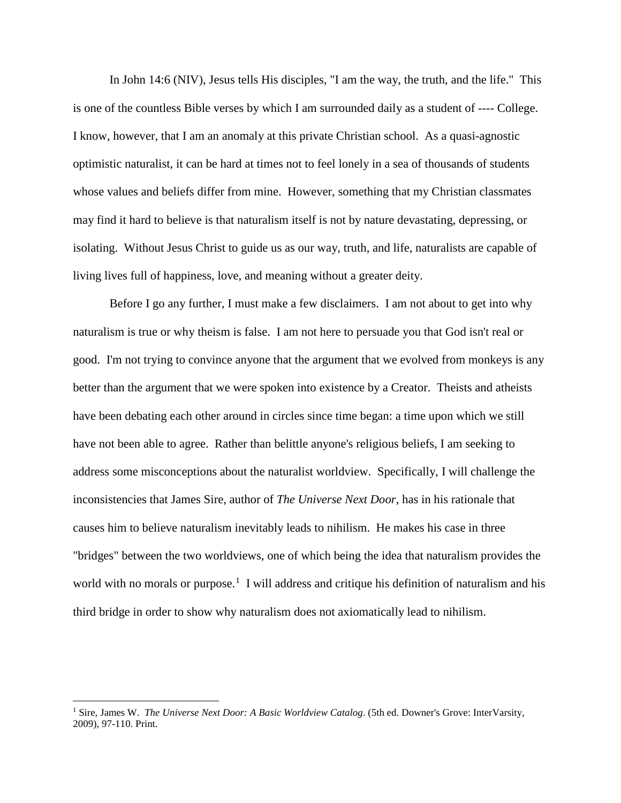In John 14:6 (NIV), Jesus tells His disciples, "I am the way, the truth, and the life." This is one of the countless Bible verses by which I am surrounded daily as a student of ---- College. I know, however, that I am an anomaly at this private Christian school. As a quasi-agnostic optimistic naturalist, it can be hard at times not to feel lonely in a sea of thousands of students whose values and beliefs differ from mine. However, something that my Christian classmates may find it hard to believe is that naturalism itself is not by nature devastating, depressing, or isolating. Without Jesus Christ to guide us as our way, truth, and life, naturalists are capable of living lives full of happiness, love, and meaning without a greater deity.

Before I go any further, I must make a few disclaimers. I am not about to get into why naturalism is true or why theism is false. I am not here to persuade you that God isn't real or good. I'm not trying to convince anyone that the argument that we evolved from monkeys is any better than the argument that we were spoken into existence by a Creator. Theists and atheists have been debating each other around in circles since time began: a time upon which we still have not been able to agree. Rather than belittle anyone's religious beliefs, I am seeking to address some misconceptions about the naturalist worldview. Specifically, I will challenge the inconsistencies that James Sire, author of *The Universe Next Door*, has in his rationale that causes him to believe naturalism inevitably leads to nihilism. He makes his case in three "bridges" between the two worldviews, one of which being the idea that naturalism provides the world with no morals or purpose.<sup>[1](#page-2-0)</sup> I will address and critique his definition of naturalism and his third bridge in order to show why naturalism does not axiomatically lead to nihilism.

<span id="page-2-0"></span><sup>1</sup> Sire, James W. *The Universe Next Door: A Basic Worldview Catalog*. (5th ed. Downer's Grove: InterVarsity, 2009), 97-110. Print.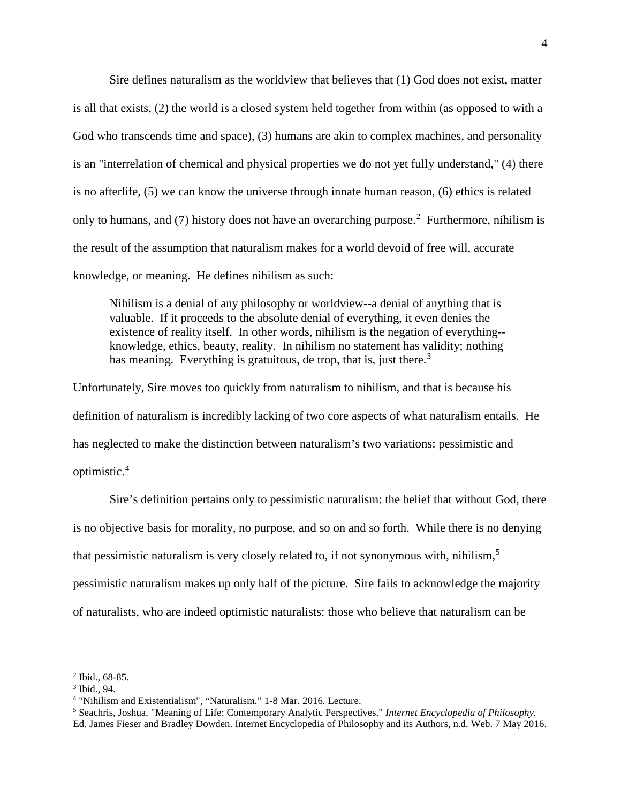Sire defines naturalism as the worldview that believes that (1) God does not exist, matter is all that exists, (2) the world is a closed system held together from within (as opposed to with a God who transcends time and space), (3) humans are akin to complex machines, and personality is an "interrelation of chemical and physical properties we do not yet fully understand," (4) there is no afterlife, (5) we can know the universe through innate human reason, (6) ethics is related only to humans, and (7) history does not have an overarching purpose.<sup>[2](#page-3-0)</sup> Furthermore, nihilism is the result of the assumption that naturalism makes for a world devoid of free will, accurate knowledge, or meaning. He defines nihilism as such:

Nihilism is a denial of any philosophy or worldview--a denial of anything that is valuable. If it proceeds to the absolute denial of everything, it even denies the existence of reality itself. In other words, nihilism is the negation of everything- knowledge, ethics, beauty, reality. In nihilism no statement has validity; nothing has meaning. Everything is gratuitous, de trop, that is, just there.<sup>[3](#page-3-1)</sup>

Unfortunately, Sire moves too quickly from naturalism to nihilism, and that is because his definition of naturalism is incredibly lacking of two core aspects of what naturalism entails. He has neglected to make the distinction between naturalism's two variations: pessimistic and optimistic. [4](#page-3-2)

Sire's definition pertains only to pessimistic naturalism: the belief that without God, there is no objective basis for morality, no purpose, and so on and so forth. While there is no denying that pessimistic naturalism is very closely related to, if not synonymous with, nihilism,<sup>[5](#page-3-3)</sup> pessimistic naturalism makes up only half of the picture. Sire fails to acknowledge the majority of naturalists, who are indeed optimistic naturalists: those who believe that naturalism can be

<span id="page-3-0"></span> $2$  Ibid., 68-85.

<span id="page-3-1"></span><sup>3</sup> Ibid., 94.

<span id="page-3-2"></span><sup>4</sup> "Nihilism and Existentialism", "Naturalism." 1-8 Mar. 2016. Lecture.

<span id="page-3-3"></span><sup>5</sup> Seachris, Joshua. "Meaning of Life: Contemporary Analytic Perspectives." *Internet Encyclopedia of Philosophy.* Ed. James Fieser and Bradley Dowden. Internet Encyclopedia of Philosophy and its Authors, n.d. Web. 7 May 2016.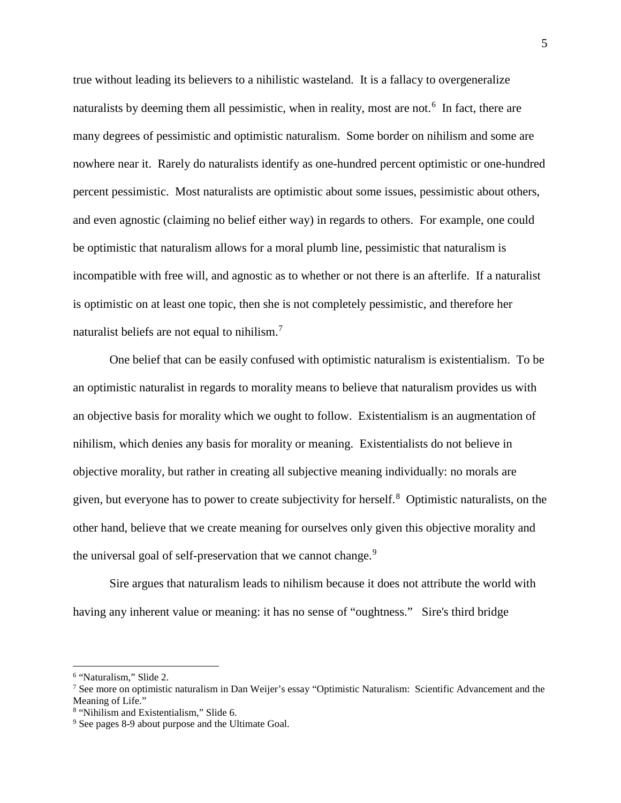true without leading its believers to a nihilistic wasteland. It is a fallacy to overgeneralize naturalists by deeming them all pessimistic, when in reality, most are not.<sup>[6](#page-4-0)</sup> In fact, there are many degrees of pessimistic and optimistic naturalism. Some border on nihilism and some are nowhere near it. Rarely do naturalists identify as one-hundred percent optimistic or one-hundred percent pessimistic. Most naturalists are optimistic about some issues, pessimistic about others, and even agnostic (claiming no belief either way) in regards to others. For example, one could be optimistic that naturalism allows for a moral plumb line, pessimistic that naturalism is incompatible with free will, and agnostic as to whether or not there is an afterlife. If a naturalist is optimistic on at least one topic, then she is not completely pessimistic, and therefore her naturalist beliefs are not equal to nihilism.<sup>[7](#page-4-1)</sup>

One belief that can be easily confused with optimistic naturalism is existentialism. To be an optimistic naturalist in regards to morality means to believe that naturalism provides us with an objective basis for morality which we ought to follow. Existentialism is an augmentation of nihilism, which denies any basis for morality or meaning. Existentialists do not believe in objective morality, but rather in creating all subjective meaning individually: no morals are given, but everyone has to power to create subjectivity for herself.[8](#page-4-2) Optimistic naturalists, on the other hand, believe that we create meaning for ourselves only given this objective morality and the universal goal of self-preservation that we cannot change.<sup>[9](#page-4-3)</sup>

Sire argues that naturalism leads to nihilism because it does not attribute the world with having any inherent value or meaning: it has no sense of "oughtness." Sire's third bridge

<span id="page-4-0"></span><sup>6</sup> "Naturalism," Slide 2.

<span id="page-4-1"></span><sup>7</sup> See more on optimistic naturalism in Dan Weijer's essay "Optimistic Naturalism: Scientific Advancement and the Meaning of Life."

<span id="page-4-2"></span><sup>8</sup> "Nihilism and Existentialism," Slide 6.

<span id="page-4-3"></span><sup>9</sup> See pages 8-9 about purpose and the Ultimate Goal.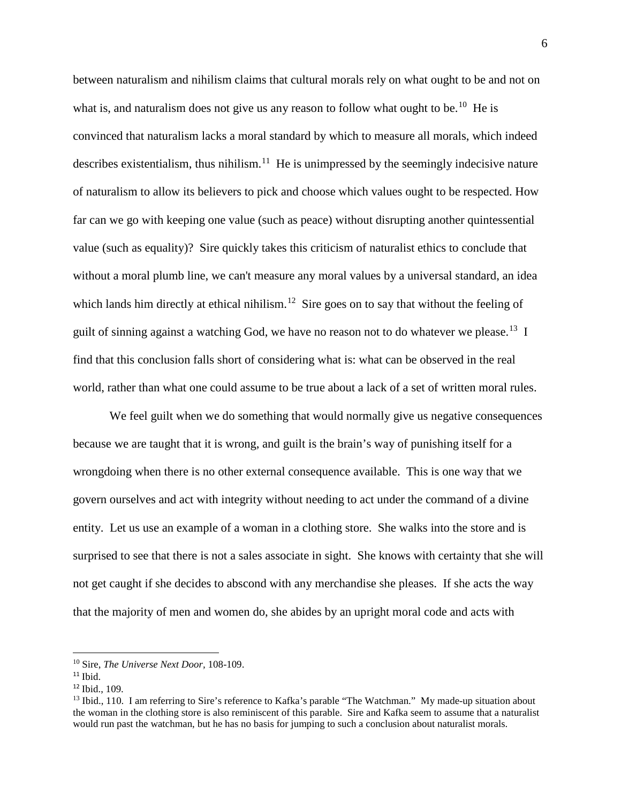between naturalism and nihilism claims that cultural morals rely on what ought to be and not on what is, and naturalism does not give us any reason to follow what ought to be.<sup>[10](#page-5-0)</sup> He is convinced that naturalism lacks a moral standard by which to measure all morals, which indeed describes existentialism, thus nihilism.<sup>[11](#page-5-1)</sup> He is unimpressed by the seemingly indecisive nature of naturalism to allow its believers to pick and choose which values ought to be respected. How far can we go with keeping one value (such as peace) without disrupting another quintessential value (such as equality)? Sire quickly takes this criticism of naturalist ethics to conclude that without a moral plumb line, we can't measure any moral values by a universal standard, an idea which lands him directly at ethical nihilism.<sup>12</sup> Sire goes on to say that without the feeling of guilt of sinning against a watching God, we have no reason not to do whatever we please.<sup>[13](#page-5-3)</sup> I find that this conclusion falls short of considering what is: what can be observed in the real world, rather than what one could assume to be true about a lack of a set of written moral rules.

We feel guilt when we do something that would normally give us negative consequences because we are taught that it is wrong, and guilt is the brain's way of punishing itself for a wrongdoing when there is no other external consequence available. This is one way that we govern ourselves and act with integrity without needing to act under the command of a divine entity. Let us use an example of a woman in a clothing store. She walks into the store and is surprised to see that there is not a sales associate in sight. She knows with certainty that she will not get caught if she decides to abscond with any merchandise she pleases. If she acts the way that the majority of men and women do, she abides by an upright moral code and acts with

 $\overline{\phantom{a}}$ 

<span id="page-5-0"></span><sup>10</sup> Sire, *The Universe Next Door,* 108-109.

<span id="page-5-1"></span> $11$  Ibid.

<span id="page-5-2"></span><sup>12</sup> Ibid., 109.

<span id="page-5-3"></span><sup>&</sup>lt;sup>13</sup> Ibid., 110. I am referring to Sire's reference to Kafka's parable "The Watchman." My made-up situation about the woman in the clothing store is also reminiscent of this parable. Sire and Kafka seem to assume that a naturalist would run past the watchman, but he has no basis for jumping to such a conclusion about naturalist morals.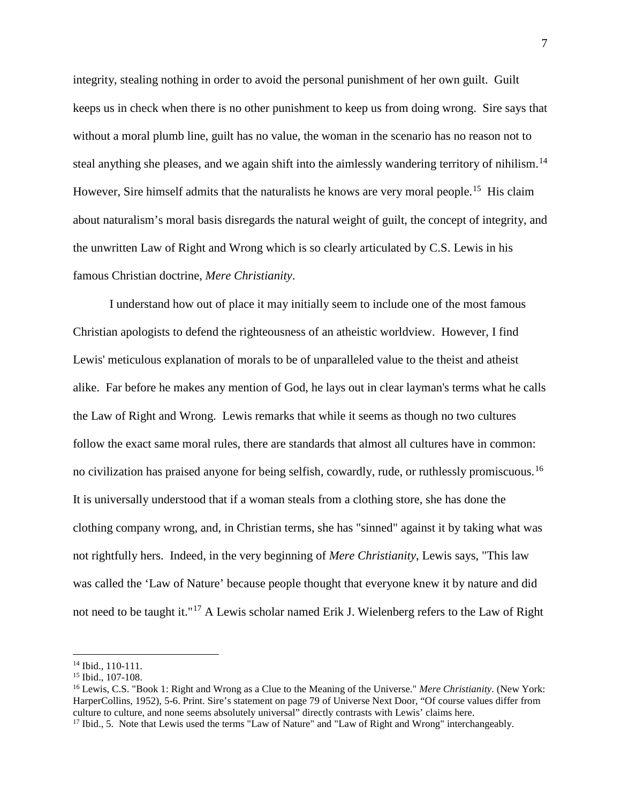integrity, stealing nothing in order to avoid the personal punishment of her own guilt. Guilt keeps us in check when there is no other punishment to keep us from doing wrong. Sire says that without a moral plumb line, guilt has no value, the woman in the scenario has no reason not to steal anything she pleases, and we again shift into the aimlessly wandering territory of nihilism.<sup>14</sup> However, Sire himself admits that the naturalists he knows are very moral people.<sup>15</sup> His claim about naturalism's moral basis disregards the natural weight of guilt, the concept of integrity, and the unwritten Law of Right and Wrong which is so clearly articulated by C.S. Lewis in his famous Christian doctrine, *Mere Christianity*.

I understand how out of place it may initially seem to include one of the most famous Christian apologists to defend the righteousness of an atheistic worldview. However, I find Lewis' meticulous explanation of morals to be of unparalleled value to the theist and atheist alike. Far before he makes any mention of God, he lays out in clear layman's terms what he calls the Law of Right and Wrong. Lewis remarks that while it seems as though no two cultures follow the exact same moral rules, there are standards that almost all cultures have in common: no civilization has praised anyone for being selfish, cowardly, rude, or ruthlessly promiscuous.<sup>16</sup> It is universally understood that if a woman steals from a clothing store, she has done the clothing company wrong, and, in Christian terms, she has "sinned" against it by taking what was not rightfully hers. Indeed, in the very beginning of *Mere Christianity*, Lewis says, "This law was called the 'Law of Nature' because people thought that everyone knew it by nature and did not need to be taught it."<sup>[17](#page-6-3)</sup> A Lewis scholar named Erik J. Wielenberg refers to the Law of Right

 $\overline{\phantom{a}}$ 

<span id="page-6-0"></span><sup>14</sup> Ibid., 110-111.

<span id="page-6-1"></span><sup>15</sup> Ibid., 107-108.

<span id="page-6-2"></span><sup>16</sup> Lewis, C.S. "Book 1: Right and Wrong as a Clue to the Meaning of the Universe." *Mere Christianity*. (New York: HarperCollins, 1952), 5-6. Print. Sire's statement on page 79 of Universe Next Door, "Of course values differ from culture to culture, and none seems absolutely universal" directly contrasts with Lewis' claims here.

<span id="page-6-3"></span><sup>&</sup>lt;sup>17</sup> Ibid., 5. Note that Lewis used the terms "Law of Nature" and "Law of Right and Wrong" interchangeably.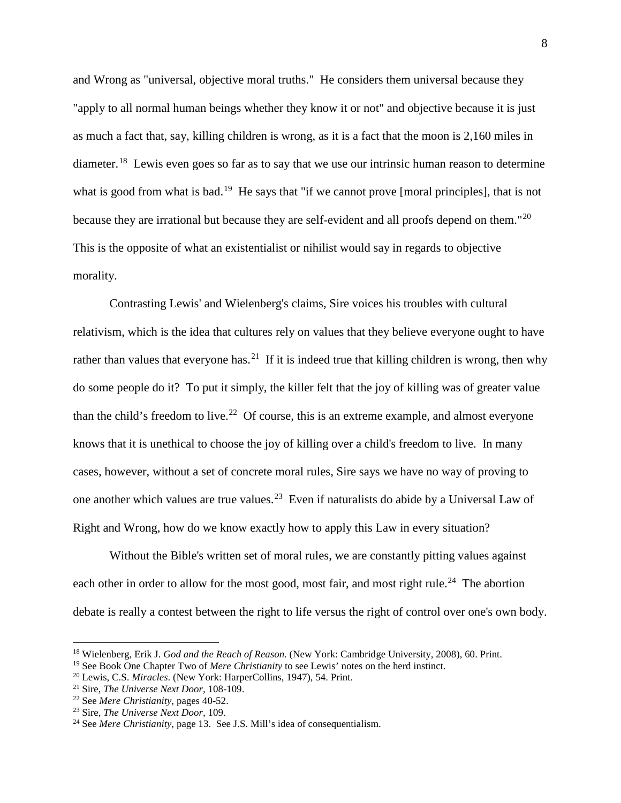and Wrong as "universal, objective moral truths." He considers them universal because they "apply to all normal human beings whether they know it or not" and objective because it is just as much a fact that, say, killing children is wrong, as it is a fact that the moon is 2,160 miles in diameter.<sup>18</sup> Lewis even goes so far as to say that we use our intrinsic human reason to determine what is good from what is bad.<sup>[19](#page-7-1)</sup> He says that "if we cannot prove [moral principles], that is not because they are irrational but because they are self-evident and all proofs depend on them."<sup>[20](#page-7-2)</sup> This is the opposite of what an existentialist or nihilist would say in regards to objective morality.

Contrasting Lewis' and Wielenberg's claims, Sire voices his troubles with cultural relativism, which is the idea that cultures rely on values that they believe everyone ought to have rather than values that everyone has.<sup>21</sup> If it is indeed true that killing children is wrong, then why do some people do it? To put it simply, the killer felt that the joy of killing was of greater value than the child's freedom to live.<sup>[22](#page-7-4)</sup> Of course, this is an extreme example, and almost everyone knows that it is unethical to choose the joy of killing over a child's freedom to live. In many cases, however, without a set of concrete moral rules, Sire says we have no way of proving to one another which values are true values.[23](#page-7-5) Even if naturalists do abide by a Universal Law of Right and Wrong, how do we know exactly how to apply this Law in every situation?

Without the Bible's written set of moral rules, we are constantly pitting values against each other in order to allow for the most good, most fair, and most right rule.<sup>24</sup> The abortion debate is really a contest between the right to life versus the right of control over one's own body.

 $\overline{a}$ 

<span id="page-7-0"></span><sup>18</sup> Wielenberg, Erik J. *God and the Reach of Reason*. (New York: Cambridge University, 2008), 60. Print.

<span id="page-7-1"></span><sup>&</sup>lt;sup>19</sup> See Book One Chapter Two of *Mere Christianity* to see Lewis' notes on the herd instinct.<br><sup>20</sup> Lewis, C.S. *Miracles*. (New York: HarperCollins, 1947), 54. Print.

<span id="page-7-2"></span>

<span id="page-7-3"></span><sup>&</sup>lt;sup>21</sup> Sire, *The Universe Next Door*, 108-109.<br><sup>22</sup> See *Mere Christianity*, pages 40-52.

<span id="page-7-4"></span>

<span id="page-7-5"></span><sup>&</sup>lt;sup>23</sup> Sire, *The Universe Next Door*, 109.

<span id="page-7-6"></span><sup>24</sup> See *Mere Christianity*, page 13. See J.S. Mill's idea of consequentialism.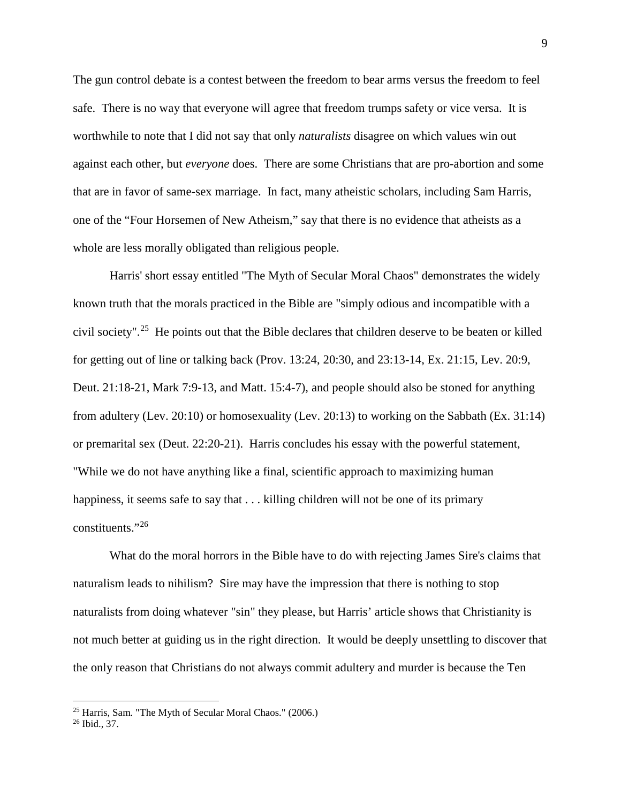The gun control debate is a contest between the freedom to bear arms versus the freedom to feel safe. There is no way that everyone will agree that freedom trumps safety or vice versa. It is worthwhile to note that I did not say that only *naturalists* disagree on which values win out against each other, but *everyone* does. There are some Christians that are pro-abortion and some that are in favor of same-sex marriage. In fact, many atheistic scholars, including Sam Harris, one of the "Four Horsemen of New Atheism," say that there is no evidence that atheists as a whole are less morally obligated than religious people.

Harris' short essay entitled "The Myth of Secular Moral Chaos" demonstrates the widely known truth that the morals practiced in the Bible are "simply odious and incompatible with a civil society".[25](#page-8-0) He points out that the Bible declares that children deserve to be beaten or killed for getting out of line or talking back (Prov. 13:24, 20:30, and 23:13-14, Ex. 21:15, Lev. 20:9, Deut. 21:18-21, Mark 7:9-13, and Matt. 15:4-7), and people should also be stoned for anything from adultery (Lev. 20:10) or homosexuality (Lev. 20:13) to working on the Sabbath (Ex. 31:14) or premarital sex (Deut. 22:20-21). Harris concludes his essay with the powerful statement, "While we do not have anything like a final, scientific approach to maximizing human happiness, it seems safe to say that . . . killing children will not be one of its primary constituents."[26](#page-8-1)

What do the moral horrors in the Bible have to do with rejecting James Sire's claims that naturalism leads to nihilism? Sire may have the impression that there is nothing to stop naturalists from doing whatever "sin" they please, but Harris' article shows that Christianity is not much better at guiding us in the right direction. It would be deeply unsettling to discover that the only reason that Christians do not always commit adultery and murder is because the Ten

<span id="page-8-0"></span><sup>25</sup> Harris, Sam. "The Myth of Secular Moral Chaos." (2006.)

<span id="page-8-1"></span><sup>26</sup> Ibid., 37.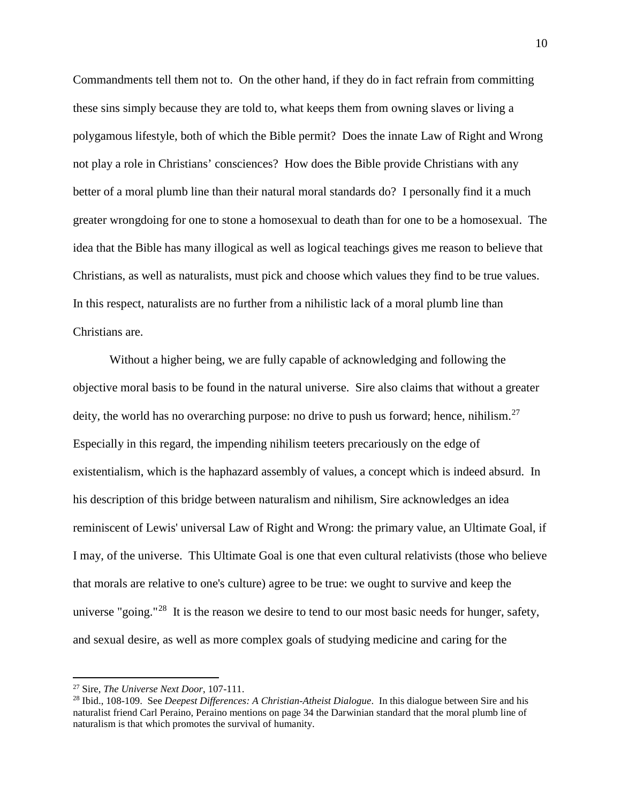Commandments tell them not to. On the other hand, if they do in fact refrain from committing these sins simply because they are told to, what keeps them from owning slaves or living a polygamous lifestyle, both of which the Bible permit? Does the innate Law of Right and Wrong not play a role in Christians' consciences? How does the Bible provide Christians with any better of a moral plumb line than their natural moral standards do? I personally find it a much greater wrongdoing for one to stone a homosexual to death than for one to be a homosexual. The idea that the Bible has many illogical as well as logical teachings gives me reason to believe that Christians, as well as naturalists, must pick and choose which values they find to be true values. In this respect, naturalists are no further from a nihilistic lack of a moral plumb line than Christians are.

Without a higher being, we are fully capable of acknowledging and following the objective moral basis to be found in the natural universe. Sire also claims that without a greater deity, the world has no overarching purpose: no drive to push us forward; hence, nihilism.<sup>27</sup> Especially in this regard, the impending nihilism teeters precariously on the edge of existentialism, which is the haphazard assembly of values, a concept which is indeed absurd. In his description of this bridge between naturalism and nihilism, Sire acknowledges an idea reminiscent of Lewis' universal Law of Right and Wrong: the primary value, an Ultimate Goal, if I may, of the universe. This Ultimate Goal is one that even cultural relativists (those who believe that morals are relative to one's culture) agree to be true: we ought to survive and keep the universe "going."<sup>28</sup> It is the reason we desire to tend to our most basic needs for hunger, safety, and sexual desire, as well as more complex goals of studying medicine and caring for the

 $\overline{a}$ 

<span id="page-9-0"></span><sup>27</sup> Sire, *The Universe Next Door*, 107-111.

<span id="page-9-1"></span><sup>28</sup> Ibid., 108-109. See *Deepest Differences: A Christian-Atheist Dialogue*. In this dialogue between Sire and his naturalist friend Carl Peraino, Peraino mentions on page 34 the Darwinian standard that the moral plumb line of naturalism is that which promotes the survival of humanity.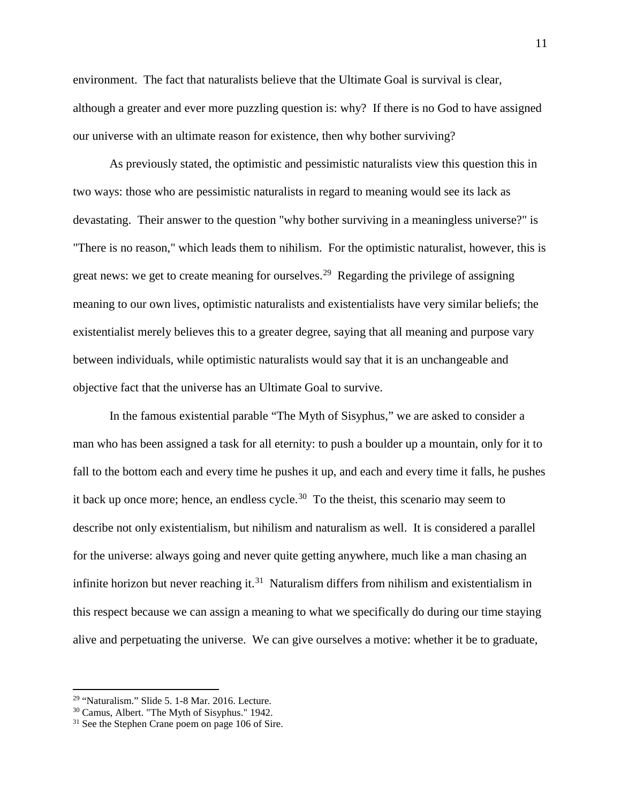environment. The fact that naturalists believe that the Ultimate Goal is survival is clear, although a greater and ever more puzzling question is: why? If there is no God to have assigned our universe with an ultimate reason for existence, then why bother surviving?

As previously stated, the optimistic and pessimistic naturalists view this question this in two ways: those who are pessimistic naturalists in regard to meaning would see its lack as devastating. Their answer to the question "why bother surviving in a meaningless universe?" is "There is no reason," which leads them to nihilism. For the optimistic naturalist, however, this is great news: we get to create meaning for ourselves.<sup>29</sup> Regarding the privilege of assigning meaning to our own lives, optimistic naturalists and existentialists have very similar beliefs; the existentialist merely believes this to a greater degree, saying that all meaning and purpose vary between individuals, while optimistic naturalists would say that it is an unchangeable and objective fact that the universe has an Ultimate Goal to survive.

In the famous existential parable "The Myth of Sisyphus," we are asked to consider a man who has been assigned a task for all eternity: to push a boulder up a mountain, only for it to fall to the bottom each and every time he pushes it up, and each and every time it falls, he pushes it back up once more; hence, an endless cycle.<sup>30</sup> To the theist, this scenario may seem to describe not only existentialism, but nihilism and naturalism as well. It is considered a parallel for the universe: always going and never quite getting anywhere, much like a man chasing an infinite horizon but never reaching it.<sup>31</sup> Naturalism differs from nihilism and existentialism in this respect because we can assign a meaning to what we specifically do during our time staying alive and perpetuating the universe. We can give ourselves a motive: whether it be to graduate,

 $\overline{\phantom{a}}$ 

<span id="page-10-0"></span><sup>29</sup> "Naturalism." Slide 5. 1-8 Mar. 2016. Lecture.

<span id="page-10-1"></span><sup>30</sup> Camus, Albert. "The Myth of Sisyphus." 1942.

<span id="page-10-2"></span><sup>&</sup>lt;sup>31</sup> See the Stephen Crane poem on page 106 of Sire.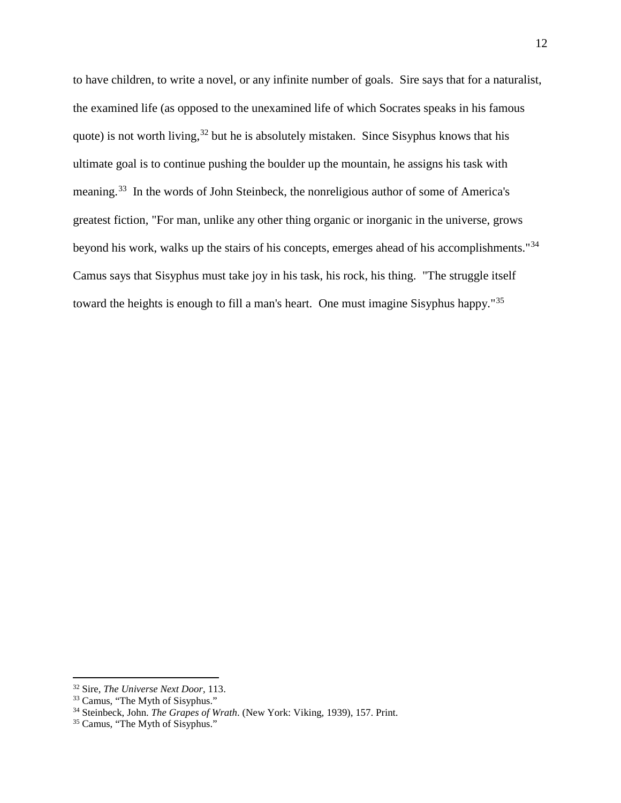to have children, to write a novel, or any infinite number of goals. Sire says that for a naturalist, the examined life (as opposed to the unexamined life of which Socrates speaks in his famous quote) is not worth living,  $32$  but he is absolutely mistaken. Since Sisyphus knows that his ultimate goal is to continue pushing the boulder up the mountain, he assigns his task with meaning.<sup>[33](#page-11-1)</sup> In the words of John Steinbeck, the nonreligious author of some of America's greatest fiction, "For man, unlike any other thing organic or inorganic in the universe, grows beyond his work, walks up the stairs of his concepts, emerges ahead of his accomplishments."[34](#page-11-2) Camus says that Sisyphus must take joy in his task, his rock, his thing. "The struggle itself toward the heights is enough to fill a man's heart. One must imagine Sisyphus happy.<sup>"[35](#page-11-3)</sup>

 $\overline{a}$ 

<span id="page-11-0"></span><sup>32</sup> Sire, *The Universe Next Door*, 113.

<sup>33</sup> Camus, "The Myth of Sisyphus."

<span id="page-11-2"></span><span id="page-11-1"></span><sup>34</sup> Steinbeck, John. *The Grapes of Wrath*. (New York: Viking, 1939), 157. Print.

<span id="page-11-3"></span><sup>35</sup> Camus, "The Myth of Sisyphus."